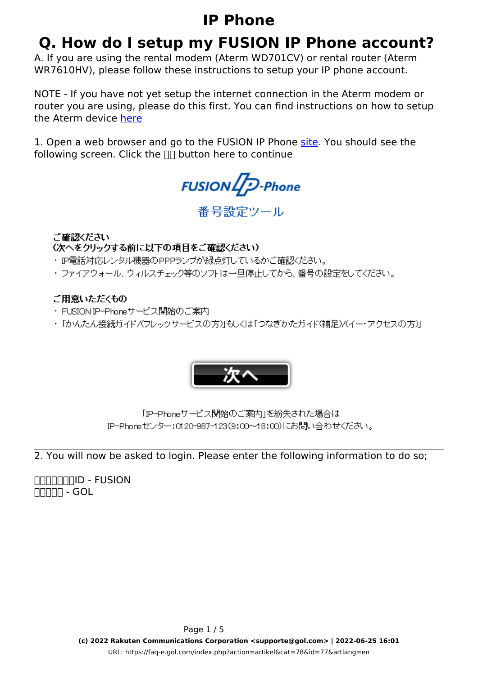# **Q. How do I setup my FUSION IP Phone account?**

A. If you are using the rental modem (Aterm WD701CV) or rental router (Aterm WR7610HV), please follow these instructions to setup your IP phone account.

NOTE - If you have not yet setup the internet connection in the Aterm modem or router you are using, please do this first. You can find instructions on how to setup the Aterm device [here](https://faq-e.gol.com/index.php?action=show&cat=61)

1. Open a web browser and go to the FUSION IP Phone [site](http://www.fusioncom.co.jp/setup/). You should see the following screen. Click the  $\Box\Box$  button here to continue



番号設定ツール

ご確認ください

(次へをクリックする前に以下の項目をご確認ください)

- ・ IP電話対応レンタル機器のPPPランプが緑点灯しているかご確認ください。
- ・ファイアウォール、ウィルスチェック等のソフトは一旦停止してから、番号の設定をしてください。

### ご用意いただくもの

- ・FUSIONIP-Phoneサービス開始のご案内
- ・「かんたん接続ガイド/(フレッッサービスの方)」もしくは「つなぎかたガイド(補足)/(イー・アクセスの方)」



「IP-Phoneサービス開始のご案内」を紛失された場合は IP-Phoneセンター:0120-987-123(9:00~18:00)にお問い合わせください。

2. You will now be asked to login. Please enter the following information to do so;

**TITITITITID - FUSION NNNH - GOL**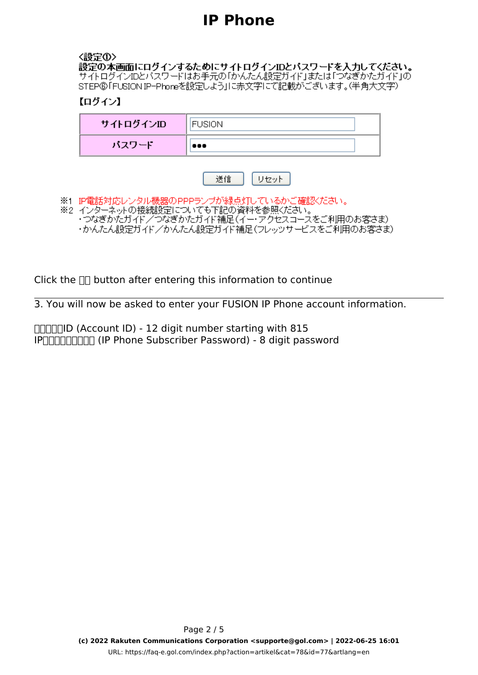#### 〈設定①〉

設定の本画面にログインするためにサイトログインIDとバスワードを入力してください。<br>サイトログインIDとバスワードはお手元の「かんたん設定ガイド」または「つなぎかたガイド」の STEP®「FUSIONIP-Phoneを設定しよう」に赤文字にて記載がございます。(半角大文字)

### 【ログイン】

| サイトログインID | <b>FUSION</b> |
|-----------|---------------|
| バスワード     |               |

|--|--|

※1 IP電話対応レンタル機器のPPPランプが緑点灯しているかご確認ください。 ※2 インターネットの接続設定についても下記の資料を参照ください。 ・つなぎかたガイド/つなぎかたガイド補足(イー・アクセスコースをご利用のお客さま)<br>・かんたん設定ガイド/かんたん設定ガイド補足(フレッツサービスをご利用のお客さま)

Click the  $\prod$  button after entering this information to continue

3. You will now be asked to enter your FUSION IP Phone account information.

**THATHID (Account ID) - 12 digit number starting with 815** IP<sub>U</sub>NORG (IP Phone Subscriber Password) - 8 digit password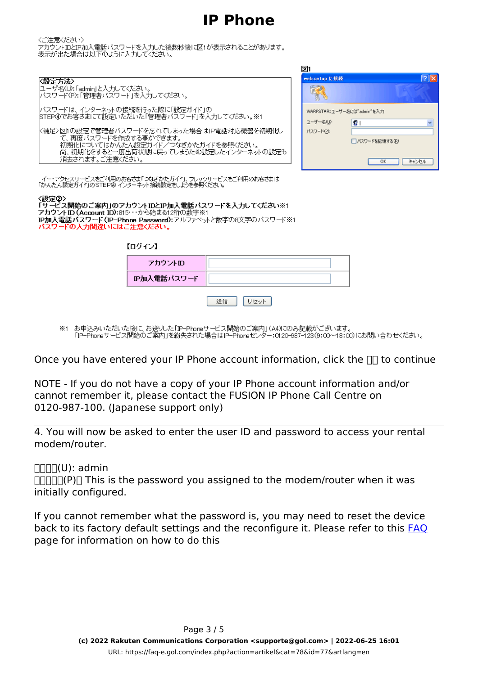छि।

くご注意ください

、ここか、<br>アカウントIDとIP加入電話バスワードを入力した後数秒後に図1が表示されることがあります。<br>表示が出た場合は以下のように入力してください。

|                                                                                                                                                                                                                                                           | உட                     |                                                                   |
|-----------------------------------------------------------------------------------------------------------------------------------------------------------------------------------------------------------------------------------------------------------|------------------------|-------------------------------------------------------------------|
| K設定方法><br> ユーザ名(U):「admin」と入力してください。<br> バスワード(P):「管理者バスワード」を入力してください。                                                                                                                                                                                    | web.setup に接続          | $ ? $ >                                                           |
| バスワードは、インターネットの接続を行った際に「設定ガイド」の<br> STEP④でお客さまにて設定いただいた「管理者バスワード」を入力してください。※1<br>K補足>図1の設定で管理者バスワードを忘れてしまった場合はIP電話対応機器を初期化し<br>て、再度バスワードを作成する事ができます。<br>初期化についてはかんたん設定ガイド/つなぎかたガイドを参照ください。<br> 尚、初期化をすると一度出荷状態に戻ってしまうため設定したインターネットの設定も<br>消去されます。ご注意ください。 | ユーザー名(U):<br>パスワード(P): | WARPSTAR:ユーザー名には"admin"を入力<br>Lε<br>□パスワードを記憶する(R)<br>キャンセル<br>0K |
| - イー・アクセスサービスをご利用のお客さま「つなぎかたガイド」、フレッツサービスをご利用のお客さまは<br>「かんたん設定ガイド」のSTEP④ インターネット接続設定をしようを参照ください。<br>〈設定②〉<br>「サービス開始のご案内」のアカウントIDとIP加入電話バスワードを入力してくたさい※1                                                                                                  |                        |                                                                   |

 $\frac{\langle}{\Gamma}$ アカウントID (Account ID):815…から始まる12桁の数字※1 IP加入電話バスワード(IP-Phone Password):アルファベットと数字の8文字のパスワード※1<br>パスワードの入力間違いにはご注意ください。

 $\mathbf{r} = \mathbf{r} \mathbf{r} \cdot \mathbf{r}$ 

| キロクインナ      |  |
|-------------|--|
| アカウントID     |  |
| IP加入電話バスワード |  |
|             |  |

※1 お申込みいただいた後に、お送りした「IP-Phoneサービス開始のご案内」(A4)にのみ記載がございます。<br>- 「IP-Phoneサービス開始のご案内」を紛失された場合はIP-Phoneセンター:0120-987-123(9:00〜18:00)にお問い合わせください。

Once you have entered your IP Phone account information, click the  $\Box\Box$  to continue

NOTE - If you do not have a copy of your IP Phone account information and/or cannot remember it, please contact the FUSION IP Phone Call Centre on 0120-987-100. (Japanese support only)

4. You will now be asked to enter the user ID and password to access your rental modem/router.

 $\Pi\Pi\Pi$ (U): admin

 $\Pi$  $\Pi$  $\Pi$  $\Pi$  $(\mathsf{P})$  $\Pi$  This is the password you assigned to the modem/router when it was initially configured.

If you cannot remember what the password is, you may need to reset the device back to its factory default settings and the reconfigure it. Please refer to this [FAQ](index.php?action=show&cat=61) page for information on how to do this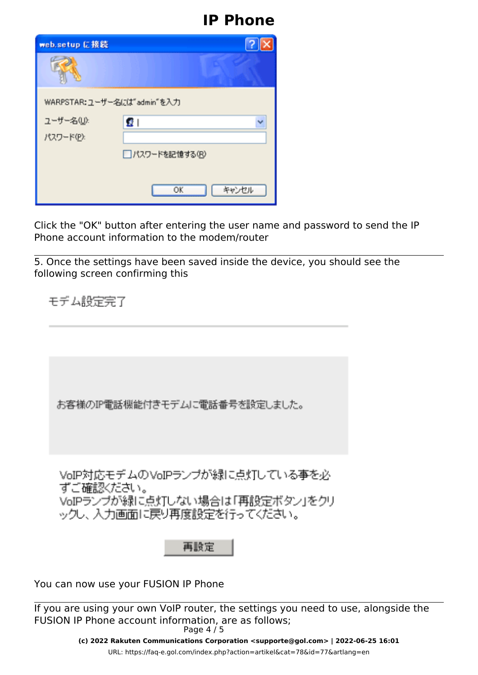| web.setup に接続              |                |
|----------------------------|----------------|
|                            |                |
| WARPSTAR:ユーザー名には"admin"を入力 |                |
| ユーザー名(U):                  | 蛋!             |
| パスワード(P):                  |                |
|                            | □パスワードを記憶する(B) |
|                            |                |
|                            | キャンセル<br>OK    |

Click the "OK" button after entering the user name and password to send the IP Phone account information to the modem/router

5. Once the settings have been saved inside the device, you should see the following screen confirming this

モデム設定完了

お客様のIP電話機能付きモデムに電話番号を設定しました。

VoIP対応モデムのVoIPランブが緑に点灯している事を必 ずご確認ください。 VoIPランプが緑に点灯しない場合は「再設定ボタン」をクリ ックし、入力画面に戻り再度設定を行ってください。

再設定

You can now use your FUSION IP Phone

If you are using your own VoIP router, the settings you need to use, alongside the FUSION IP Phone account information, are as follows; Page 4 / 5

> **(c) 2022 Rakuten Communications Corporation <supporte@gol.com> | 2022-06-25 16:01** [URL: https://faq-e.gol.com/index.php?action=artikel&cat=78&id=77&artlang=en](https://faq-e.gol.com/index.php?action=artikel&cat=78&id=77&artlang=en)